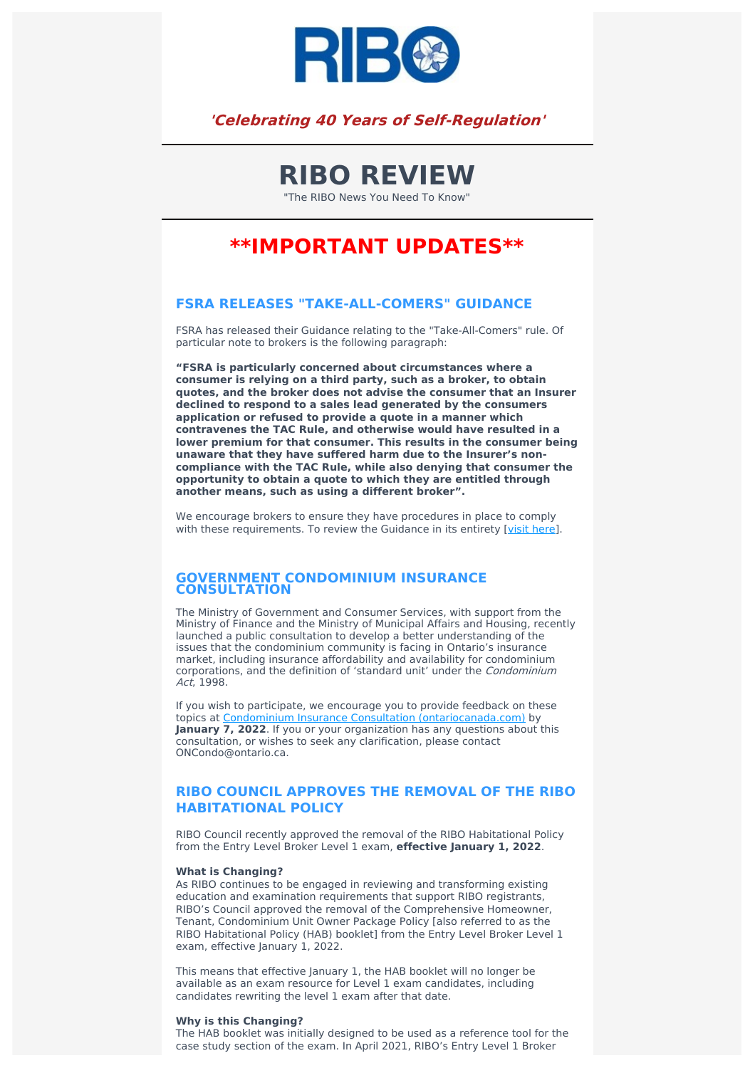

## **'Celebrating 40 Years of Self-Regulation'**

# **RIBO REVIEW**

"The RIBO News You Need To Know"

## **\*\*IMPORTANT UPDATES\*\***

## **FSRA RELEASES "TAKE-ALL-COMERS" GUIDANCE**

FSRA has released their Guidance relating to the "Take-All-Comers" rule. Of particular note to brokers is the following paragraph:

**"FSRA is particularly concerned about circumstances where a consumer is relying on a third party, such as a broker, to obtain quotes, and the broker does not advise the consumer that an Insurer declined to respond to a sales lead generated by the consumers application or refused to provide a quote in a manner which contravenes the TAC Rule, and otherwise would have resulted in a lower premium for that consumer. This results in the consumer being unaware that they have suffered harm due to the Insurer's noncompliance with the TAC Rule, while also denying that consumer the opportunity to obtain a quote to which they are entitled through another means, such as using a different broker".**

We encourage brokers to ensure they have procedures in place to comply with these requirements. To review the Guidance in its entirety [visit [here\]](https://www.fsrao.ca/newsroom/fsra-releases-take-all-comers-guidance-remind-auto-insurance-industry-its-legal-obligations-consumers).

### **GOVERNMENT CONDOMINIUM INSURANCE CONSULTATION**

The Ministry of Government and Consumer Services, with support from the Ministry of Finance and the Ministry of Municipal Affairs and Housing, recently launched a public consultation to develop a better understanding of the issues that the condominium community is facing in Ontario's insurance market, including insurance affordability and availability for condominium corporations, and the definition of 'standard unit' under the Condominium Act, 1998.

If you wish to participate, we encourage you to provide feedback on these topics at Condominium Insurance Consultation [\(ontariocanada.com\)](https://www.ontariocanada.com/registry/view.do?language=en&postingId=39827) by **January 7, 2022**. If you or your organization has any questions about this consultation, or wishes to seek any clarification, please contact ONCondo@ontario.ca.

## **RIBO COUNCIL APPROVES THE REMOVAL OF THE RIBO HABITATIONAL POLICY**

RIBO Council recently approved the removal of the RIBO Habitational Policy from the Entry Level Broker Level 1 exam, **effective January 1, 2022**.

#### **What is Changing?**

As RIBO continues to be engaged in reviewing and transforming existing education and examination requirements that support RIBO registrants, RIBO's Council approved the removal of the Comprehensive Homeowner, Tenant, Condominium Unit Owner Package Policy [also referred to as the RIBO Habitational Policy (HAB) booklet] from the Entry Level Broker Level 1 exam, effective January 1, 2022.

This means that effective January 1, the HAB booklet will no longer be available as an exam resource for Level 1 exam candidates, including candidates rewriting the level 1 exam after that date.

#### **Why is this Changing?**

The HAB booklet was initially designed to be used as a reference tool for the case study section of the exam. In April 2021, RIBO's Entry Level 1 Broker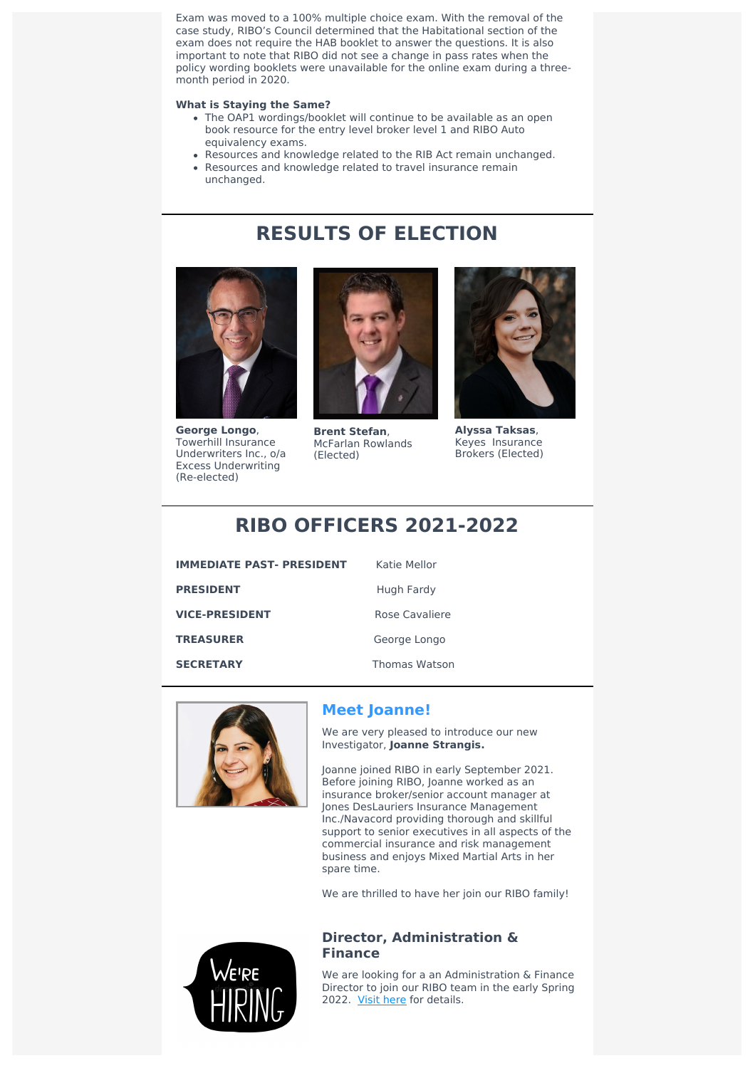Exam was moved to a 100% multiple choice exam. With the removal of the case study, RIBO's Council determined that the Habitational section of the exam does not require the HAB booklet to answer the questions. It is also important to note that RIBO did not see a change in pass rates when the policy wording booklets were unavailable for the online exam during a three month period in 2020.

### **What is Staying the Same?**

- The OAP1 wordings/booklet will continue to be available as an open book resource for the entry level broker level 1 and RIBO Auto equivalency exams.
- Resources and knowledge related to the RIB Act remain unchanged.

**RESULTS OF ELECTION**

Resources and knowledge related to travel insurance remain unchanged.



**George Longo**, Towerhill Insurance Underwriters Inc., o/a Excess Underwriting (Re-elected)



**Brent Stefan**, McFarlan Rowlands (Elected)



**Alyssa Taksas**, Keyes Insurance Brokers (Elected)

## **RIBO OFFICERS 2021-2022**

| <b>IMMEDIATE PAST- PRESIDENT</b> |
|----------------------------------|
| <b>PRESIDENT</b>                 |
| <b>VICE-PRESIDENT</b>            |
| <b>TREASURER</b>                 |
| <b>SECRETARY</b>                 |

**Katie Mellor** 

**Hugh Fardy** 

**Rose Cavaliere** 

George Longo

**SECRETARY** Thomas Watson



## **Meet Joanne!**

We are very pleased to introduce our new Investigator, **Joanne Strangis.**

Joanne joined RIBO in early September 2021. Before joining RIBO, Joanne worked as an insurance broker/senior account manager at Jones DesLauriers Insurance Management Inc./Navacord providing thorough and skillful support to senior executives in all aspects of the commercial insurance and risk management business and enjoys Mixed Martial Arts in her spare time.

We are thrilled to have her join our RIBO family!



## **Director, Administration & Finance**

We are looking for a an Administration & Finance Director to join our RIBO team in the early Spring 2022. Visit [here](https://www.ribo.com/job/finance-director/) for details.